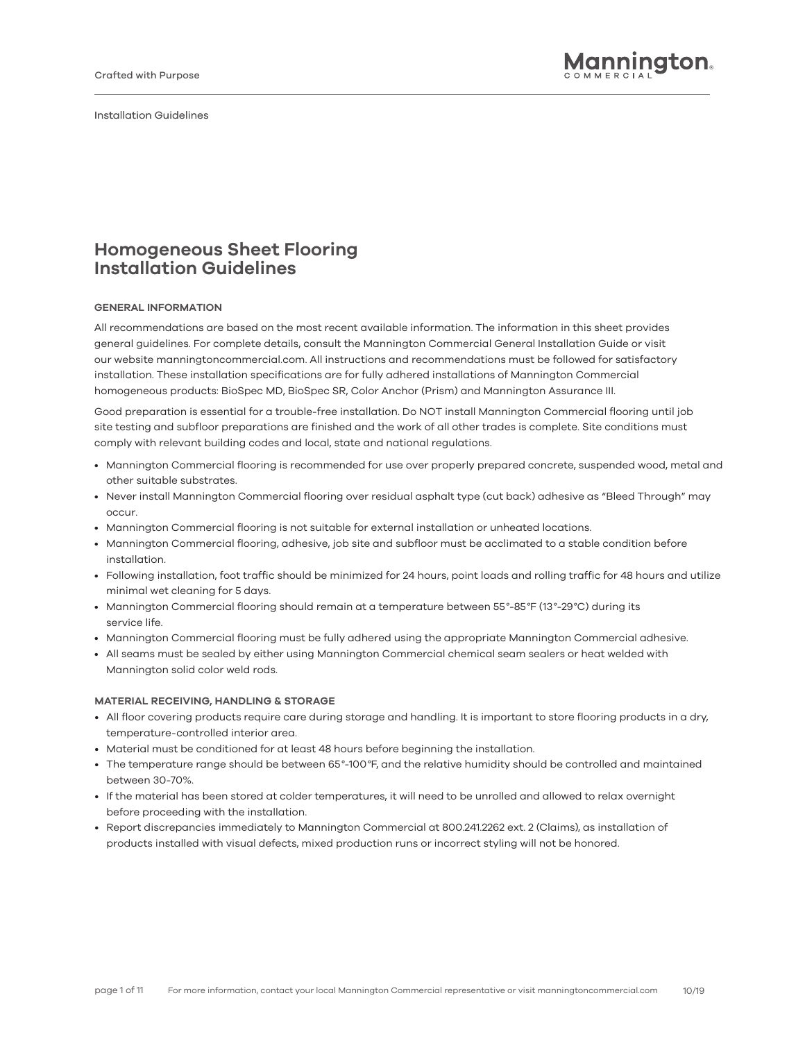Installation Guidelines Installation Guidelines

# **Homogeneous Sheet Flooring Installation Guidelines**

# **GENERAL INFORMATION**

All recommendations are based on the most recent available information. The information in this sheet provides general guidelines. For complete details, consult the Mannington Commercial General Installation Guide or visit our website manningtoncommercial.com. All instructions and recommendations must be followed for satisfactory installation. These installation specifications are for fully adhered installations of Mannington Commercial homogeneous products: BioSpec MD, BioSpec SR, Color Anchor (Prism) and Mannington Assurance III.

Good preparation is essential for a trouble-free installation. Do NOT install Mannington Commercial flooring until job site testing and subfloor preparations are finished and the work of all other trades is complete. Site conditions must comply with relevant building codes and local, state and national regulations.

- Mannington Commercial flooring is recommended for use over properly prepared concrete, suspended wood, metal and other suitable substrates.
- Never install Mannington Commercial flooring over residual asphalt type (cut back) adhesive as "Bleed Through" may occur.
- Mannington Commercial flooring is not suitable for external installation or unheated locations.
- Mannington Commercial flooring, adhesive, job site and subfloor must be acclimated to a stable condition before installation.
- Following installation, foot traffic should be minimized for 24 hours, point loads and rolling traffic for 48 hours and utilize minimal wet cleaning for 5 days.
- Mannington Commercial flooring should remain at a temperature between 55*°*-85*°*F (13*°*-29*°*C) during its service life.
- Mannington Commercial flooring must be fully adhered using the appropriate Mannington Commercial adhesive.
- All seams must be sealed by either using Mannington Commercial chemical seam sealers or heat welded with Mannington solid color weld rods.

#### **MATERIAL RECEIVING, HANDLING & STORAGE**

- All floor covering products require care during storage and handling. It is important to store flooring products in a dry, temperature-controlled interior area.
- Material must be conditioned for at least 48 hours before beginning the installation.
- The temperature range should be between 65*°*-100*°*F, and the relative humidity should be controlled and maintained between 30-70%.
- If the material has been stored at colder temperatures, it will need to be unrolled and allowed to relax overnight before proceeding with the installation.
- Report discrepancies immediately to Mannington Commercial at 800.241.2262 ext. 2 (Claims), as installation of products installed with visual defects, mixed production runs or incorrect styling will not be honored.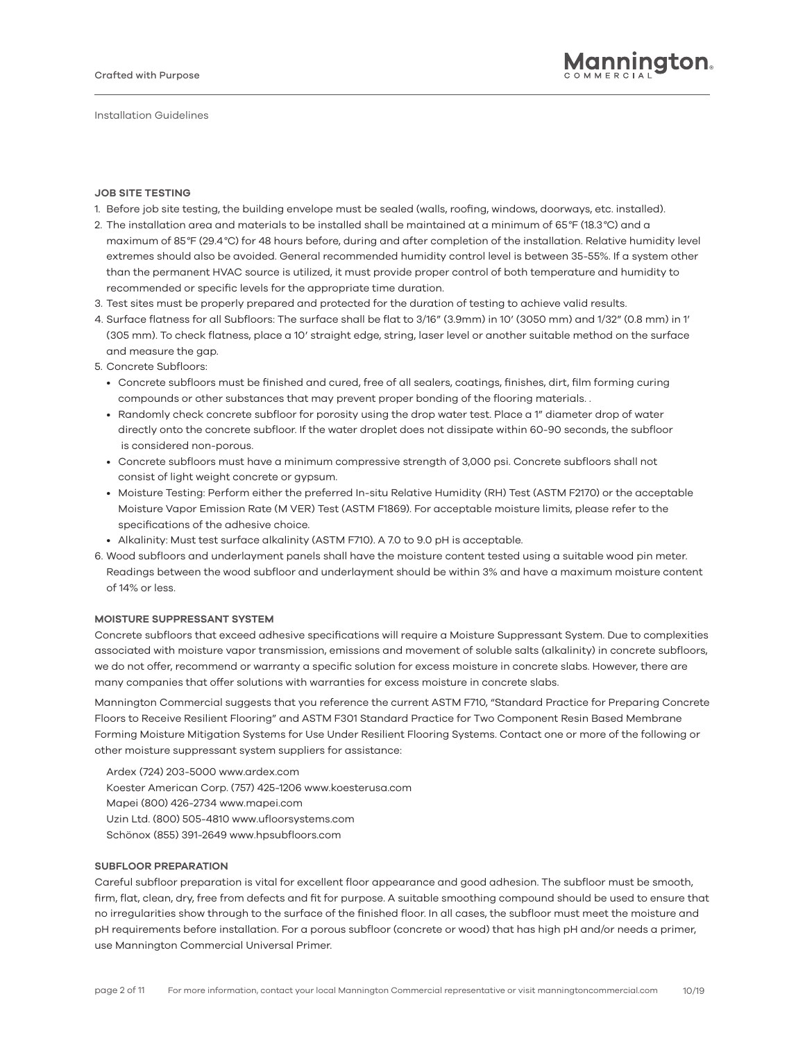## **JOB SITE TESTING**

- 1. Before job site testing, the building envelope must be sealed (walls, roofing, windows, doorways, etc. installed).
- 2. The installation area and materials to be installed shall be maintained at a minimum of 65*°*F (18.3*°*C) and a maximum of 85*°*F (29.4*°*C) for 48 hours before, during and after completion of the installation. Relative humidity level extremes should also be avoided. General recommended humidity control level is between 35-55%. If a system other than the permanent HVAC source is utilized, it must provide proper control of both temperature and humidity to recommended or specific levels for the appropriate time duration.
- 3. Test sites must be properly prepared and protected for the duration of testing to achieve valid results.
- 4. Surface flatness for all Subfloors: The surface shall be flat to 3/16" (3.9mm) in 10' (3050 mm) and 1/32" (0.8 mm) in 1' (305 mm). To check flatness, place a 10' straight edge, string, laser level or another suitable method on the surface and measure the gap.

5. Concrete Subfloors:

- Concrete subfloors must be finished and cured, free of all sealers, coatings, finishes, dirt, film forming curing compounds or other substances that may prevent proper bonding of the flooring materials. .
- Randomly check concrete subfloor for porosity using the drop water test. Place a 1" diameter drop of water directly onto the concrete subfloor. If the water droplet does not dissipate within 60-90 seconds, the subfloor is considered non-porous.
- Concrete subfloors must have a minimum compressive strength of 3,000 psi. Concrete subfloors shall not consist of light weight concrete or gypsum.
- Moisture Testing: Perform either the preferred In-situ Relative Humidity (RH) Test (ASTM F2170) or the acceptable Moisture Vapor Emission Rate (M VER) Test (ASTM F1869). For acceptable moisture limits, please refer to the specifications of the adhesive choice.
- Alkalinity: Must test surface alkalinity (ASTM F710). A 7.0 to 9.0 pH is acceptable.
- 6. Wood subfloors and underlayment panels shall have the moisture content tested using a suitable wood pin meter. Readings between the wood subfloor and underlayment should be within 3% and have a maximum moisture content of 14% or less.

# **MOISTURE SUPPRESSANT SYSTEM**

Concrete subfloors that exceed adhesive specifications will require a Moisture Suppressant System. Due to complexities associated with moisture vapor transmission, emissions and movement of soluble salts (alkalinity) in concrete subfloors, we do not offer, recommend or warranty a specific solution for excess moisture in concrete slabs. However, there are many companies that offer solutions with warranties for excess moisture in concrete slabs.

Mannington Commercial suggests that you reference the current ASTM F710, "Standard Practice for Preparing Concrete Floors to Receive Resilient Flooring" and ASTM F301 Standard Practice for Two Component Resin Based Membrane Forming Moisture Mitigation Systems for Use Under Resilient Flooring Systems. Contact one or more of the following or other moisture suppressant system suppliers for assistance:

Ardex (724) 203-5000 www.ardex.com Koester American Corp. (757) 425-1206 www.koesterusa.com Mapei (800) 426-2734 www.mapei.com Uzin Ltd. (800) 505-4810 www.ufloorsystems.com Schönox (855) 391-2649 www.hpsubfloors.com

# **SUBFLOOR PREPARATION**

Careful subfloor preparation is vital for excellent floor appearance and good adhesion. The subfloor must be smooth, firm, flat, clean, dry, free from defects and fit for purpose. A suitable smoothing compound should be used to ensure that no irregularities show through to the surface of the finished floor. In all cases, the subfloor must meet the moisture and pH requirements before installation. For a porous subfloor (concrete or wood) that has high pH and/or needs a primer, use Mannington Commercial Universal Primer.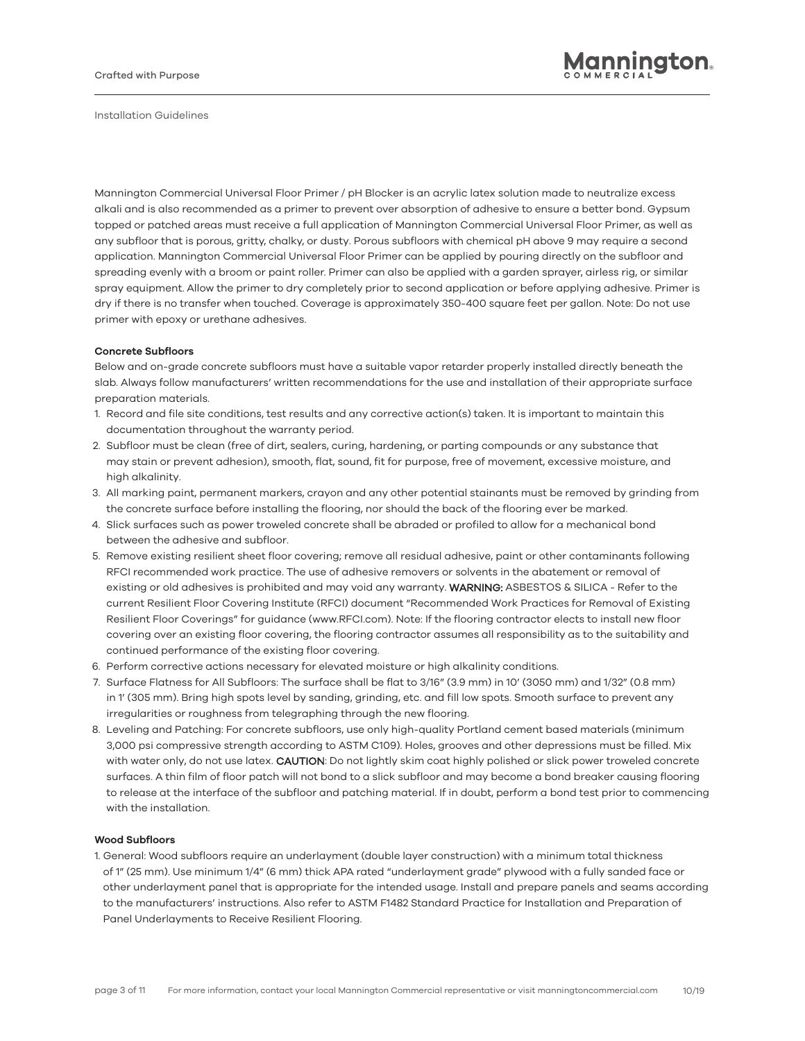Mannington Commercial Universal Floor Primer / pH Blocker is an acrylic latex solution made to neutralize excess alkali and is also recommended as a primer to prevent over absorption of adhesive to ensure a better bond. Gypsum topped or patched areas must receive a full application of Mannington Commercial Universal Floor Primer, as well as any subfloor that is porous, gritty, chalky, or dusty. Porous subfloors with chemical pH above 9 may require a second application. Mannington Commercial Universal Floor Primer can be applied by pouring directly on the subfloor and spreading evenly with a broom or paint roller. Primer can also be applied with a garden sprayer, airless rig, or similar spray equipment. Allow the primer to dry completely prior to second application or before applying adhesive. Primer is dry if there is no transfer when touched. Coverage is approximately 350-400 square feet per gallon. Note: Do not use primer with epoxy or urethane adhesives.

## **Concrete Subfloors**

Below and on-grade concrete subfloors must have a suitable vapor retarder properly installed directly beneath the slab. Always follow manufacturers' written recommendations for the use and installation of their appropriate surface preparation materials.

- 1. Record and file site conditions, test results and any corrective action(s) taken. It is important to maintain this documentation throughout the warranty period.
- 2. Subfloor must be clean (free of dirt, sealers, curing, hardening, or parting compounds or any substance that may stain or prevent adhesion), smooth, flat, sound, fit for purpose, free of movement, excessive moisture, and high alkalinity.
- 3. All marking paint, permanent markers, crayon and any other potential stainants must be removed by grinding from the concrete surface before installing the flooring, nor should the back of the flooring ever be marked.
- 4. Slick surfaces such as power troweled concrete shall be abraded or profiled to allow for a mechanical bond between the adhesive and subfloor.
- 5. Remove existing resilient sheet floor covering; remove all residual adhesive, paint or other contaminants following RFCI recommended work practice. The use of adhesive removers or solvents in the abatement or removal of existing or old adhesives is prohibited and may void any warranty. WARNING: ASBESTOS & SILICA - Refer to the current Resilient Floor Covering Institute (RFCI) document "Recommended Work Practices for Removal of Existing Resilient Floor Coverings" for guidance (www.RFCI.com). Note: If the flooring contractor elects to install new floor covering over an existing floor covering, the flooring contractor assumes all responsibility as to the suitability and continued performance of the existing floor covering.
- 6. Perform corrective actions necessary for elevated moisture or high alkalinity conditions.
- 7. Surface Flatness for All Subfloors: The surface shall be flat to 3/16" (3.9 mm) in 10' (3050 mm) and 1/32" (0.8 mm) in 1' (305 mm). Bring high spots level by sanding, grinding, etc. and fill low spots. Smooth surface to prevent any irregularities or roughness from telegraphing through the new flooring.
- 8. Leveling and Patching: For concrete subfloors, use only high-quality Portland cement based materials (minimum 3,000 psi compressive strength according to ASTM C109). Holes, grooves and other depressions must be filled. Mix with water only, do not use latex. CAUTION: Do not lightly skim coat highly polished or slick power troweled concrete surfaces. A thin film of floor patch will not bond to a slick subfloor and may become a bond breaker causing flooring to release at the interface of the subfloor and patching material. If in doubt, perform a bond test prior to commencing with the installation.

## **Wood Subfloors**

1. General: Wood subfloors require an underlayment (double layer construction) with a minimum total thickness of 1" (25 mm). Use minimum 1/4" (6 mm) thick APA rated "underlayment grade" plywood with a fully sanded face or other underlayment panel that is appropriate for the intended usage. Install and prepare panels and seams according to the manufacturers' instructions. Also refer to ASTM F1482 Standard Practice for Installation and Preparation of Panel Underlayments to Receive Resilient Flooring.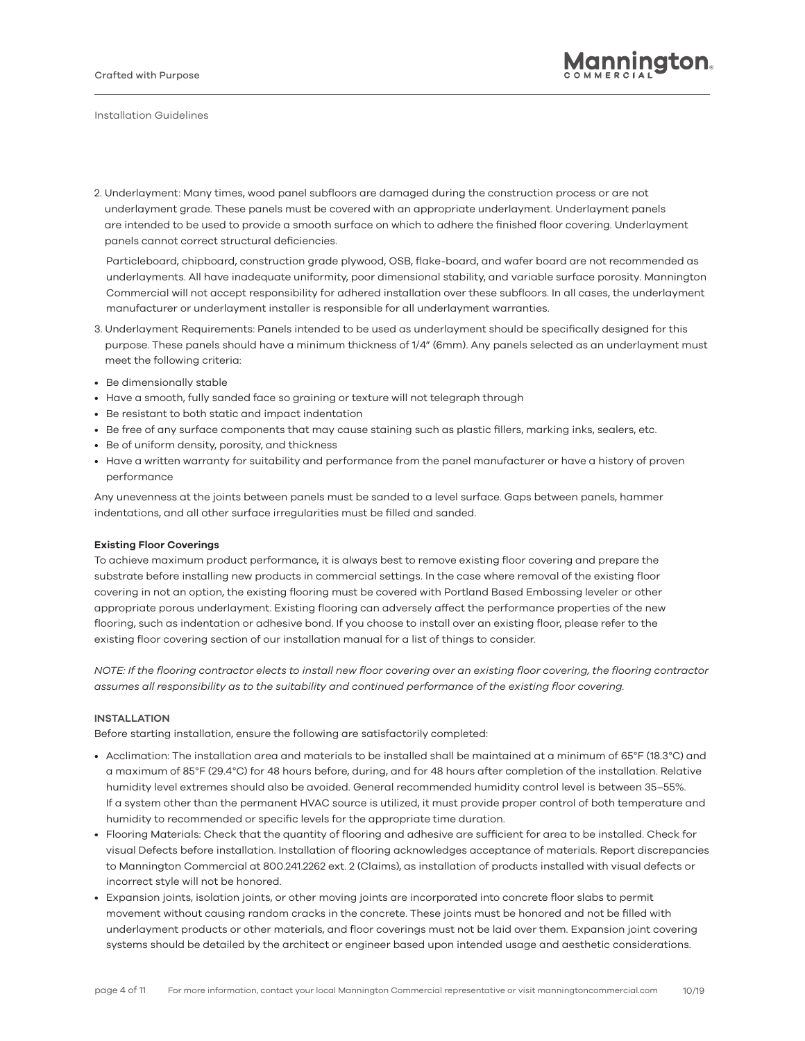2. Underlayment: Many times, wood panel subfloors are damaged during the construction process or are not underlayment grade. These panels must be covered with an appropriate underlayment. Underlayment panels are intended to be used to provide a smooth surface on which to adhere the finished floor covering. Underlayment panels cannot correct structural deficiencies.

Particleboard, chipboard, construction grade plywood, OSB, flake-board, and wafer board are not recommended as underlayments. All have inadequate uniformity, poor dimensional stability, and variable surface porosity. Mannington Commercial will not accept responsibility for adhered installation over these subfloors. In all cases, the underlayment manufacturer or underlayment installer is responsible for all underlayment warranties.

- 3. Underlayment Requirements: Panels intended to be used as underlayment should be specifically designed for this purpose. These panels should have a minimum thickness of 1/4" (6mm). Any panels selected as an underlayment must meet the following criteria:
- Be dimensionally stable
- Have a smooth, fully sanded face so graining or texture will not telegraph through
- Be resistant to both static and impact indentation
- Be free of any surface components that may cause staining such as plastic fillers, marking inks, sealers, etc.
- Be of uniform density, porosity, and thickness
- Have a written warranty for suitability and performance from the panel manufacturer or have a history of proven performance

Any unevenness at the joints between panels must be sanded to a level surface. Gaps between panels, hammer indentations, and all other surface irregularities must be filled and sanded.

# **Existing Floor Coverings**

To achieve maximum product performance, it is always best to remove existing floor covering and prepare the substrate before installing new products in commercial settings. In the case where removal of the existing floor covering in not an option, the existing flooring must be covered with Portland Based Embossing leveler or other appropriate porous underlayment. Existing flooring can adversely affect the performance properties of the new flooring, such as indentation or adhesive bond. If you choose to install over an existing floor, please refer to the existing floor covering section of our installation manual for a list of things to consider.

*NOTE: If the flooring contractor elects to install new floor covering over an existing floor covering, the flooring contractor assumes all responsibility as to the suitability and continued performance of the existing floor covering.*

# **INSTALLATION**

Before starting installation, ensure the following are satisfactorily completed:

- Acclimation: The installation area and materials to be installed shall be maintained at a minimum of 65°F (18.3°C) and a maximum of 85°F (29.4°C) for 48 hours before, during, and for 48 hours after completion of the installation. Relative humidity level extremes should also be avoided. General recommended humidity control level is between 35–55%. If a system other than the permanent HVAC source is utilized, it must provide proper control of both temperature and humidity to recommended or specific levels for the appropriate time duration.
- Flooring Materials: Check that the quantity of flooring and adhesive are sufficient for area to be installed. Check for visual Defects before installation. Installation of flooring acknowledges acceptance of materials. Report discrepancies to Mannington Commercial at 800.241.2262 ext. 2 (Claims), as installation of products installed with visual defects or incorrect style will not be honored.
- Expansion joints, isolation joints, or other moving joints are incorporated into concrete floor slabs to permit movement without causing random cracks in the concrete. These joints must be honored and not be filled with underlayment products or other materials, and floor coverings must not be laid over them. Expansion joint covering systems should be detailed by the architect or engineer based upon intended usage and aesthetic considerations.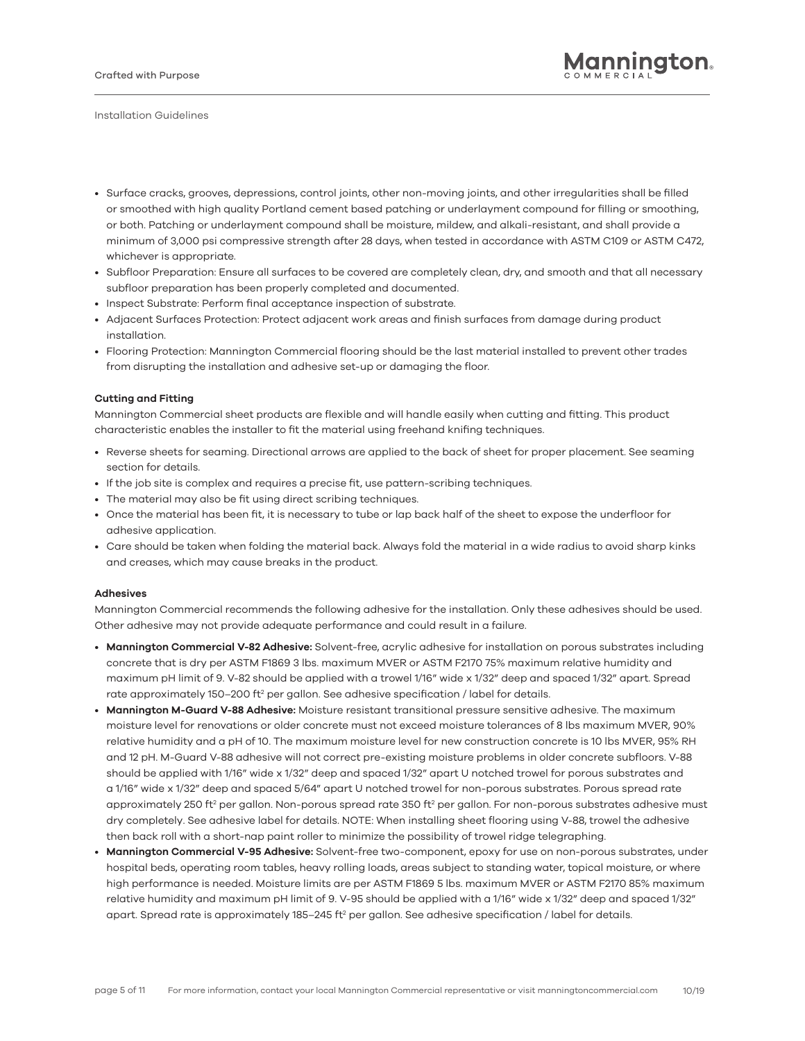- Surface cracks, grooves, depressions, control joints, other non-moving joints, and other irregularities shall be filled or smoothed with high quality Portland cement based patching or underlayment compound for filling or smoothing, or both. Patching or underlayment compound shall be moisture, mildew, and alkali-resistant, and shall provide a minimum of 3,000 psi compressive strength after 28 days, when tested in accordance with ASTM C109 or ASTM C472, whichever is appropriate.
- *•* Subfloor Preparation: Ensure all surfaces to be covered are completely clean, dry, and smooth and that all necessary subfloor preparation has been properly completed and documented.
- Inspect Substrate: Perform final acceptance inspection of substrate.
- Adjacent Surfaces Protection: Protect adjacent work areas and finish surfaces from damage during product installation.
- Flooring Protection: Mannington Commercial flooring should be the last material installed to prevent other trades from disrupting the installation and adhesive set-up or damaging the floor.

## **Cutting and Fitting**

Mannington Commercial sheet products are flexible and will handle easily when cutting and fitting. This product characteristic enables the installer to fit the material using freehand knifing techniques.

- Reverse sheets for seaming. Directional arrows are applied to the back of sheet for proper placement. See seaming section for details.
- If the job site is complex and requires a precise fit, use pattern-scribing techniques.
- The material may also be fit using direct scribing techniques.
- Once the material has been fit, it is necessary to tube or lap back half of the sheet to expose the underfloor for adhesive application.
- Care should be taken when folding the material back. Always fold the material in a wide radius to avoid sharp kinks and creases, which may cause breaks in the product.

#### **Adhesives**

Mannington Commercial recommends the following adhesive for the installation. Only these adhesives should be used. Other adhesive may not provide adequate performance and could result in a failure.

- **Mannington Commercial V-82 Adhesive:** Solvent-free, acrylic adhesive for installation on porous substrates including concrete that is dry per ASTM F1869 3 lbs. maximum MVER or ASTM F2170 75% maximum relative humidity and maximum pH limit of 9. V-82 should be applied with a trowel 1/16" wide x 1/32" deep and spaced 1/32" apart. Spread rate approximately 150–200 ft<sup>2</sup> per gallon. See adhesive specification / label for details.
- **Mannington M-Guard V-88 Adhesive:** Moisture resistant transitional pressure sensitive adhesive. The maximum moisture level for renovations or older concrete must not exceed moisture tolerances of 8 lbs maximum MVER, 90% relative humidity and a pH of 10. The maximum moisture level for new construction concrete is 10 lbs MVER, 95% RH and 12 pH. M-Guard V-88 adhesive will not correct pre-existing moisture problems in older concrete subfloors. V-88 should be applied with 1/16" wide x 1/32" deep and spaced 1/32" apart U notched trowel for porous substrates and a 1/16" wide x 1/32" deep and spaced 5/64" apart U notched trowel for non-porous substrates. Porous spread rate approximately 250 ft<sup>2</sup> per gallon. Non-porous spread rate 350 ft<sup>2</sup> per gallon. For non-porous substrates adhesive must dry completely. See adhesive label for details. NOTE: When installing sheet flooring using V-88, trowel the adhesive then back roll with a short-nap paint roller to minimize the possibility of trowel ridge telegraphing.
- **Mannington Commercial V-95 Adhesive:** Solvent-free two-component, epoxy for use on non-porous substrates, under hospital beds, operating room tables, heavy rolling loads, areas subject to standing water, topical moisture, or where high performance is needed. Moisture limits are per ASTM F1869 5 lbs. maximum MVER or ASTM F2170 85% maximum relative humidity and maximum pH limit of 9. V-95 should be applied with a 1/16" wide x 1/32" deep and spaced 1/32" apart. Spread rate is approximately 185–245 ft $^2$  per gallon. See adhesive specification / label for details.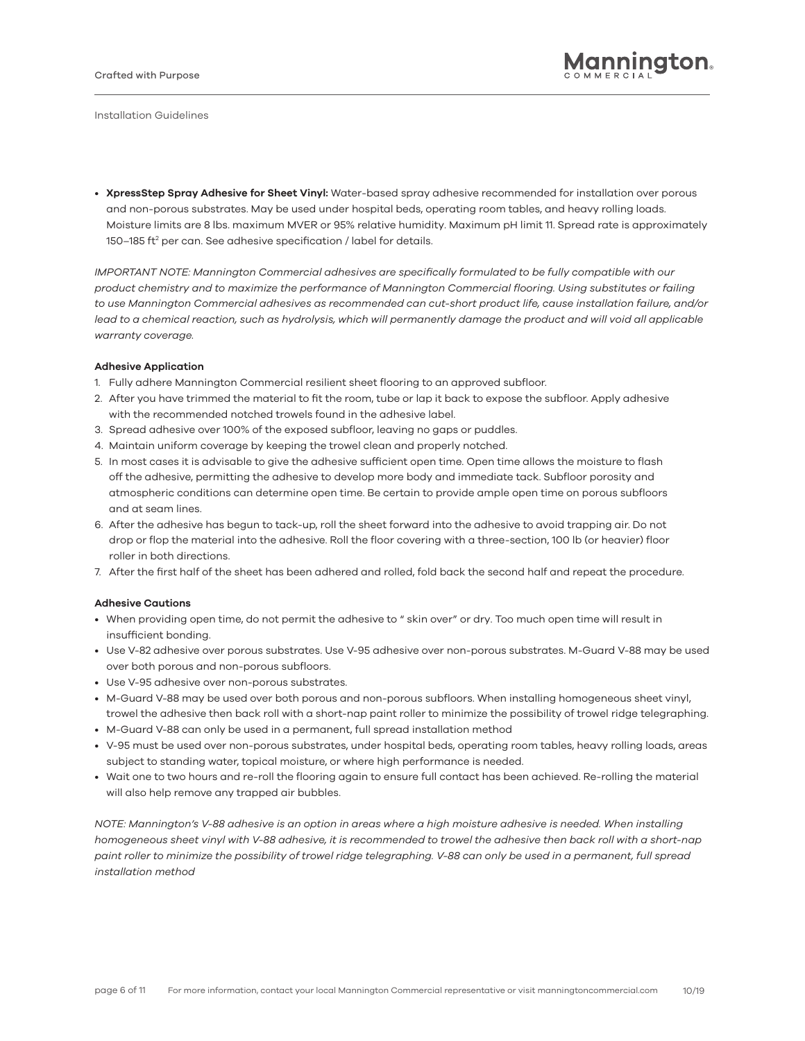• **XpressStep Spray Adhesive for Sheet Vinyl:** Water-based spray adhesive recommended for installation over porous and non-porous substrates. May be used under hospital beds, operating room tables, and heavy rolling loads. Moisture limits are 8 lbs. maximum MVER or 95% relative humidity. Maximum pH limit 11. Spread rate is approximately  $150-185$  ft<sup>2</sup> per can. See adhesive specification / label for details.

*IMPORTANT NOTE: Mannington Commercial adhesives are specifically formulated to be fully compatible with our product chemistry and to maximize the performance of Mannington Commercial flooring. Using substitutes or failing to use Mannington Commercial adhesives as recommended can cut-short product life, cause installation failure, and/or*  lead to a chemical reaction, such as hydrolysis, which will permanently damage the product and will void all applicable *warranty coverage.*

#### **Adhesive Application**

- 1. Fully adhere Mannington Commercial resilient sheet flooring to an approved subfloor.
- 2. After you have trimmed the material to fit the room, tube or lap it back to expose the subfloor. Apply adhesive with the recommended notched trowels found in the adhesive label.
- 3. Spread adhesive over 100% of the exposed subfloor, leaving no gaps or puddles.
- 4. Maintain uniform coverage by keeping the trowel clean and properly notched.
- 5. In most cases it is advisable to give the adhesive sufficient open time. Open time allows the moisture to flash off the adhesive, permitting the adhesive to develop more body and immediate tack. Subfloor porosity and atmospheric conditions can determine open time. Be certain to provide ample open time on porous subfloors and at seam lines.
- 6. After the adhesive has begun to tack-up, roll the sheet forward into the adhesive to avoid trapping air. Do not drop or flop the material into the adhesive. Roll the floor covering with a three-section, 100 lb (or heavier) floor roller in both directions.
- 7. After the first half of the sheet has been adhered and rolled, fold back the second half and repeat the procedure.

#### **Adhesive Cautions**

- When providing open time, do not permit the adhesive to " skin over" or dry. Too much open time will result in insufficient bonding.
- Use V-82 adhesive over porous substrates. Use V-95 adhesive over non-porous substrates. M-Guard V-88 may be used over both porous and non-porous subfloors.
- Use V-95 adhesive over non-porous substrates.
- M-Guard V-88 may be used over both porous and non-porous subfloors. When installing homogeneous sheet vinyl, trowel the adhesive then back roll with a short-nap paint roller to minimize the possibility of trowel ridge telegraphing.
- M-Guard V-88 can only be used in a permanent, full spread installation method
- V-95 must be used over non-porous substrates, under hospital beds, operating room tables, heavy rolling loads, areas subject to standing water, topical moisture, or where high performance is needed.
- Wait one to two hours and re-roll the flooring again to ensure full contact has been achieved. Re-rolling the material will also help remove any trapped air bubbles.

*NOTE: Mannington's V-88 adhesive is an option in areas where a high moisture adhesive is needed. When installing homogeneous sheet vinyl with V-88 adhesive, it is recommended to trowel the adhesive then back roll with a short-nap paint roller to minimize the possibility of trowel ridge telegraphing. V-88 can only be used in a permanent, full spread installation method*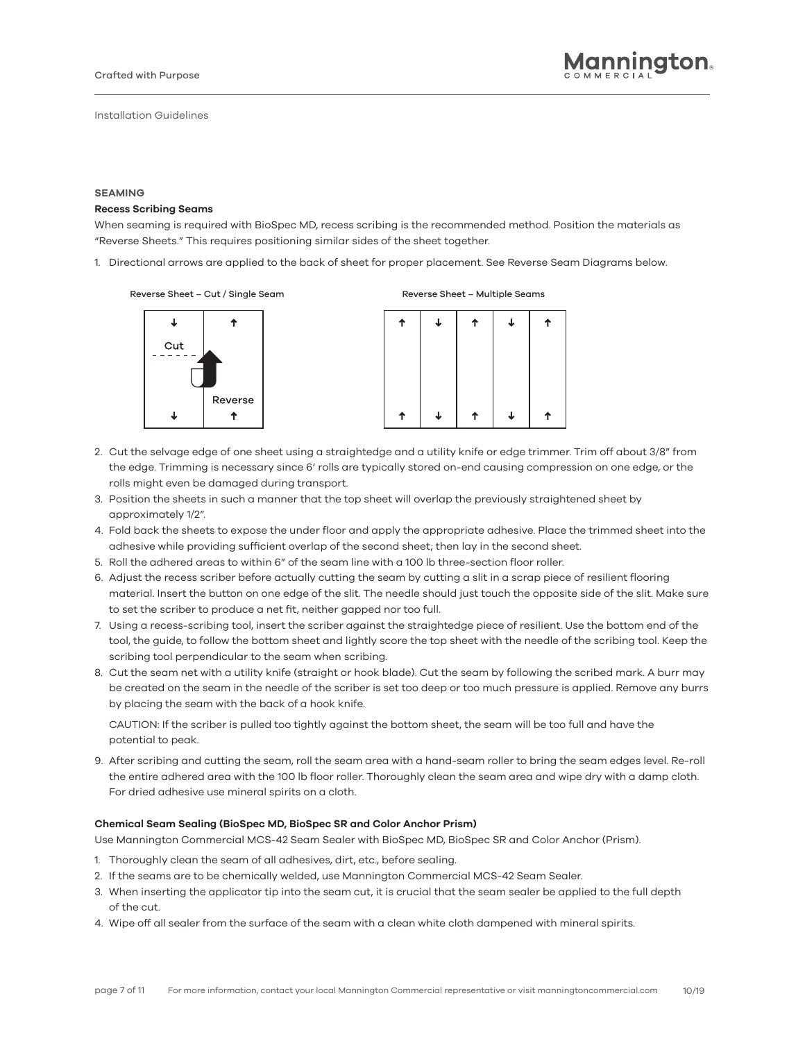#### **SEAMING**

#### **Recess Scribing Seams**

When seaming is required with BioSpec MD, recess scribing is the recommended method. Position the materials as "Reverse Sheets." This requires positioning similar sides of the sheet together.

1. Directional arrows are applied to the back of sheet for proper placement. See Reverse Seam Diagrams below.

Reverse Sheet – Cut / Single Seam Reverse Sheet – Multiple Seams



ሳ J  $\downarrow$ ↑ J ተ 个

- 2. Cut the selvage edge of one sheet using a straightedge and a utility knife or edge trimmer. Trim off about 3/8" from the edge. Trimming is necessary since 6' rolls are typically stored on-end causing compression on one edge, or the rolls might even be damaged during transport.
- 3. Position the sheets in such a manner that the top sheet will overlap the previously straightened sheet by approximately 1/2".
- 4. Fold back the sheets to expose the under floor and apply the appropriate adhesive. Place the trimmed sheet into the adhesive while providing sufficient overlap of the second sheet; then lay in the second sheet.
- 5. Roll the adhered areas to within 6" of the seam line with a 100 lb three-section floor roller.
- 6. Adjust the recess scriber before actually cutting the seam by cutting a slit in a scrap piece of resilient flooring material. Insert the button on one edge of the slit. The needle should just touch the opposite side of the slit. Make sure to set the scriber to produce a net fit, neither gapped nor too full.
- 7. Using a recess-scribing tool, insert the scriber against the straightedge piece of resilient. Use the bottom end of the tool, the guide, to follow the bottom sheet and lightly score the top sheet with the needle of the scribing tool. Keep the scribing tool perpendicular to the seam when scribing.
- 8. Cut the seam net with a utility knife (straight or hook blade). Cut the seam by following the scribed mark. A burr may be created on the seam in the needle of the scriber is set too deep or too much pressure is applied. Remove any burrs by placing the seam with the back of a hook knife.

CAUTION: If the scriber is pulled too tightly against the bottom sheet, the seam will be too full and have the potential to peak.

9. After scribing and cutting the seam, roll the seam area with a hand-seam roller to bring the seam edges level. Re-roll the entire adhered area with the 100 lb floor roller. Thoroughly clean the seam area and wipe dry with a damp cloth. For dried adhesive use mineral spirits on a cloth.

#### **Chemical Seam Sealing (BioSpec MD, BioSpec SR and Color Anchor Prism)**

Use Mannington Commercial MCS-42 Seam Sealer with BioSpec MD, BioSpec SR and Color Anchor (Prism).

- 1. Thoroughly clean the seam of all adhesives, dirt, etc., before sealing.
- 2. If the seams are to be chemically welded, use Mannington Commercial MCS-42 Seam Sealer.
- 3. When inserting the applicator tip into the seam cut, it is crucial that the seam sealer be applied to the full depth of the cut.
- 4. Wipe off all sealer from the surface of the seam with a clean white cloth dampened with mineral spirits.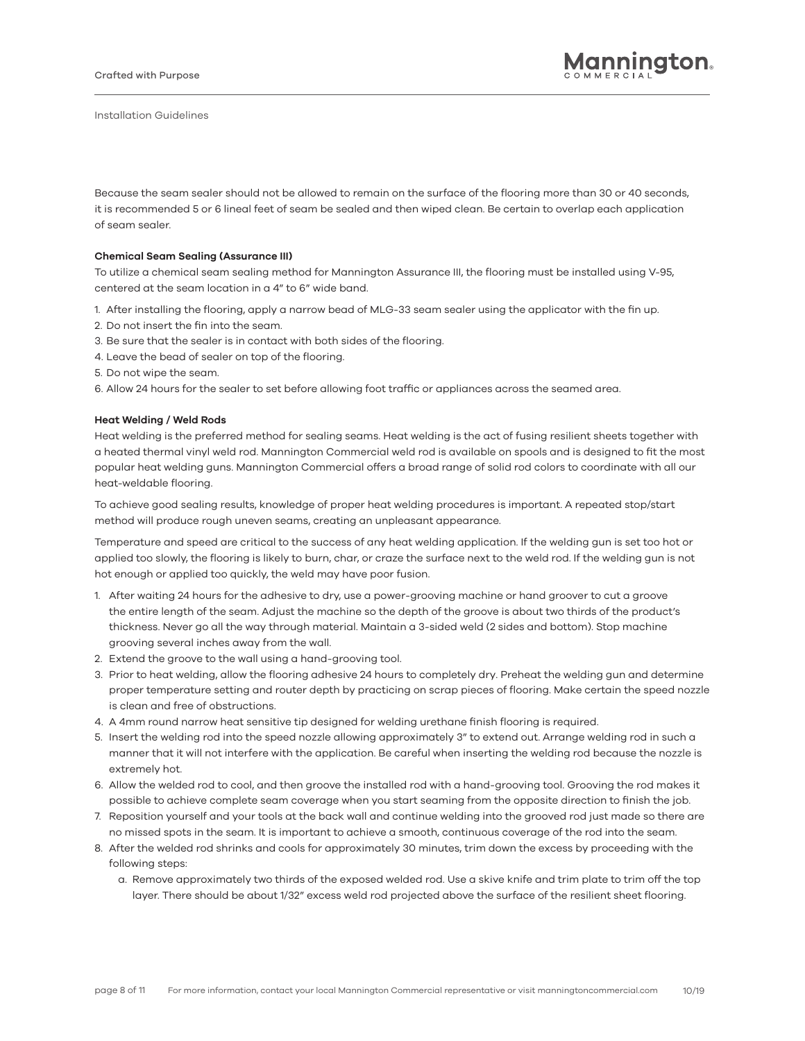Because the seam sealer should not be allowed to remain on the surface of the flooring more than 30 or 40 seconds, it is recommended 5 or 6 lineal feet of seam be sealed and then wiped clean. Be certain to overlap each application of seam sealer.

#### **Chemical Seam Sealing (Assurance III)**

To utilize a chemical seam sealing method for Mannington Assurance III, the flooring must be installed using V-95, centered at the seam location in a 4" to 6" wide band.

- 1. After installing the flooring, apply a narrow bead of MLG-33 seam sealer using the applicator with the fin up.
- 2. Do not insert the fin into the seam.
- 3. Be sure that the sealer is in contact with both sides of the flooring.
- 4. Leave the bead of sealer on top of the flooring.
- 5. Do not wipe the seam.
- 6. Allow 24 hours for the sealer to set before allowing foot traffic or appliances across the seamed area.

## **Heat Welding / Weld Rods**

Heat welding is the preferred method for sealing seams. Heat welding is the act of fusing resilient sheets together with a heated thermal vinyl weld rod. Mannington Commercial weld rod is available on spools and is designed to fit the most popular heat welding guns. Mannington Commercial offers a broad range of solid rod colors to coordinate with all our heat-weldable flooring.

To achieve good sealing results, knowledge of proper heat welding procedures is important. A repeated stop/start method will produce rough uneven seams, creating an unpleasant appearance.

Temperature and speed are critical to the success of any heat welding application. If the welding gun is set too hot or applied too slowly, the flooring is likely to burn, char, or craze the surface next to the weld rod. If the welding gun is not hot enough or applied too quickly, the weld may have poor fusion.

- 1. After waiting 24 hours for the adhesive to dry, use a power-grooving machine or hand groover to cut a groove the entire length of the seam. Adjust the machine so the depth of the groove is about two thirds of the product's thickness. Never go all the way through material. Maintain a 3-sided weld (2 sides and bottom). Stop machine grooving several inches away from the wall.
- 2. Extend the groove to the wall using a hand-grooving tool.
- 3. Prior to heat welding, allow the flooring adhesive 24 hours to completely dry. Preheat the welding gun and determine proper temperature setting and router depth by practicing on scrap pieces of flooring. Make certain the speed nozzle is clean and free of obstructions.
- 4. A 4mm round narrow heat sensitive tip designed for welding urethane finish flooring is required.
- 5. Insert the welding rod into the speed nozzle allowing approximately 3" to extend out. Arrange welding rod in such a manner that it will not interfere with the application. Be careful when inserting the welding rod because the nozzle is extremely hot.
- 6. Allow the welded rod to cool, and then groove the installed rod with a hand-grooving tool. Grooving the rod makes it possible to achieve complete seam coverage when you start seaming from the opposite direction to finish the job.
- 7. Reposition yourself and your tools at the back wall and continue welding into the grooved rod just made so there are no missed spots in the seam. It is important to achieve a smooth, continuous coverage of the rod into the seam.
- 8. After the welded rod shrinks and cools for approximately 30 minutes, trim down the excess by proceeding with the following steps:
	- a. Remove approximately two thirds of the exposed welded rod. Use a skive knife and trim plate to trim off the top layer. There should be about 1/32" excess weld rod projected above the surface of the resilient sheet flooring.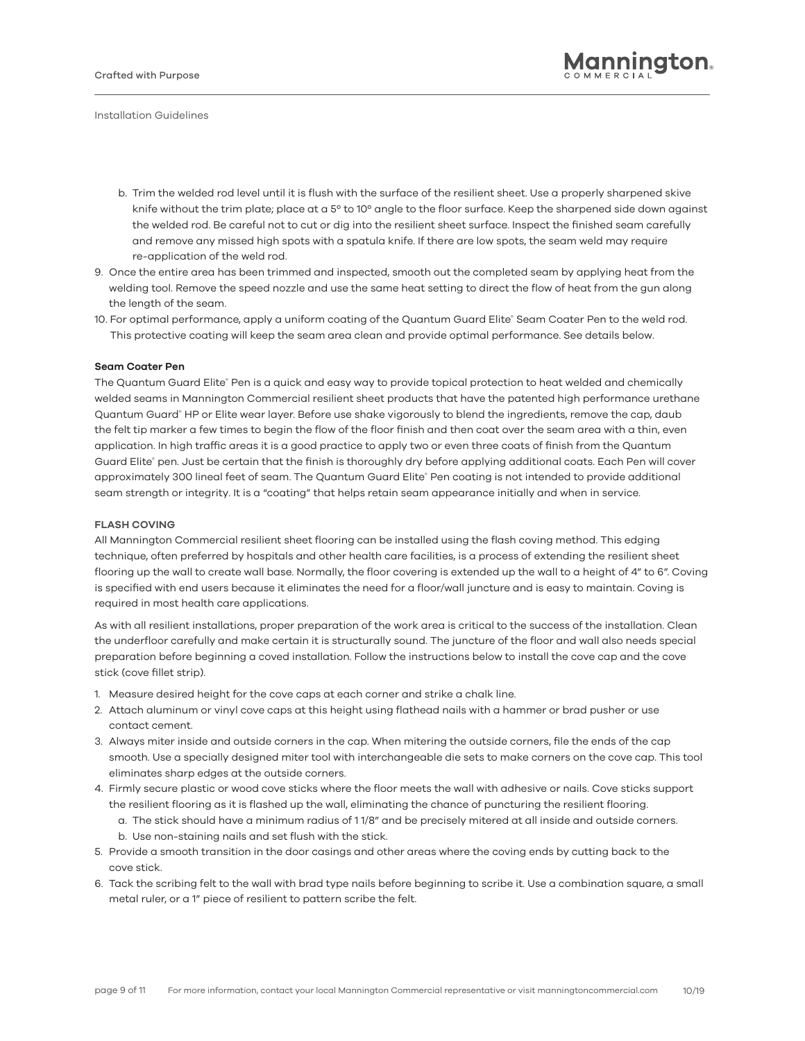- b. Trim the welded rod level until it is flush with the surface of the resilient sheet. Use a properly sharpened skive knife without the trim plate; place at a 5° to 10° angle to the floor surface. Keep the sharpened side down against the welded rod. Be careful not to cut or dig into the resilient sheet surface. Inspect the finished seam carefully and remove any missed high spots with a spatula knife. If there are low spots, the seam weld may require re-application of the weld rod.
- 9. Once the entire area has been trimmed and inspected, smooth out the completed seam by applying heat from the welding tool. Remove the speed nozzle and use the same heat setting to direct the flow of heat from the gun along the length of the seam.
- 10. For optimal performance, apply a uniform coating of the Quantum Guard Elite® Seam Coater Pen to the weld rod. This protective coating will keep the seam area clean and provide optimal performance. See details below.

#### **Seam Coater Pen**

The Quantum Guard Elite® Pen is a quick and easy way to provide topical protection to heat welded and chemically welded seams in Mannington Commercial resilient sheet products that have the patented high performance urethane Quantum Guard® HP or Elite wear layer. Before use shake vigorously to blend the ingredients, remove the cap, daub the felt tip marker a few times to begin the flow of the floor finish and then coat over the seam area with a thin, even application. In high traffic areas it is a good practice to apply two or even three coats of finish from the Quantum Guard Elite® pen. Just be certain that the finish is thoroughly dry before applying additional coats. Each Pen will cover approximately 300 lineal feet of seam. The Quantum Guard Elite® Pen coating is not intended to provide additional seam strength or integrity. It is a "coating" that helps retain seam appearance initially and when in service.

#### **FLASH COVING**

All Mannington Commercial resilient sheet flooring can be installed using the flash coving method. This edging technique, often preferred by hospitals and other health care facilities, is a process of extending the resilient sheet flooring up the wall to create wall base. Normally, the floor covering is extended up the wall to a height of 4" to 6". Coving is specified with end users because it eliminates the need for a floor/wall juncture and is easy to maintain. Coving is required in most health care applications.

As with all resilient installations, proper preparation of the work area is critical to the success of the installation. Clean the underfloor carefully and make certain it is structurally sound. The juncture of the floor and wall also needs special preparation before beginning a coved installation. Follow the instructions below to install the cove cap and the cove stick (cove fillet strip).

- 1. Measure desired height for the cove caps at each corner and strike a chalk line.
- 2. Attach aluminum or vinyl cove caps at this height using flathead nails with a hammer or brad pusher or use contact cement.
- 3. Always miter inside and outside corners in the cap. When mitering the outside corners, file the ends of the cap smooth. Use a specially designed miter tool with interchangeable die sets to make corners on the cove cap. This tool eliminates sharp edges at the outside corners.
- 4. Firmly secure plastic or wood cove sticks where the floor meets the wall with adhesive or nails. Cove sticks support the resilient flooring as it is flashed up the wall, eliminating the chance of puncturing the resilient flooring.
	- a. The stick should have a minimum radius of 1 1/8" and be precisely mitered at all inside and outside corners. b. Use non-staining nails and set flush with the stick.
- 5. Provide a smooth transition in the door casings and other areas where the coving ends by cutting back to the cove stick.
- 6. Tack the scribing felt to the wall with brad type nails before beginning to scribe it. Use a combination square, a small metal ruler, or a 1" piece of resilient to pattern scribe the felt.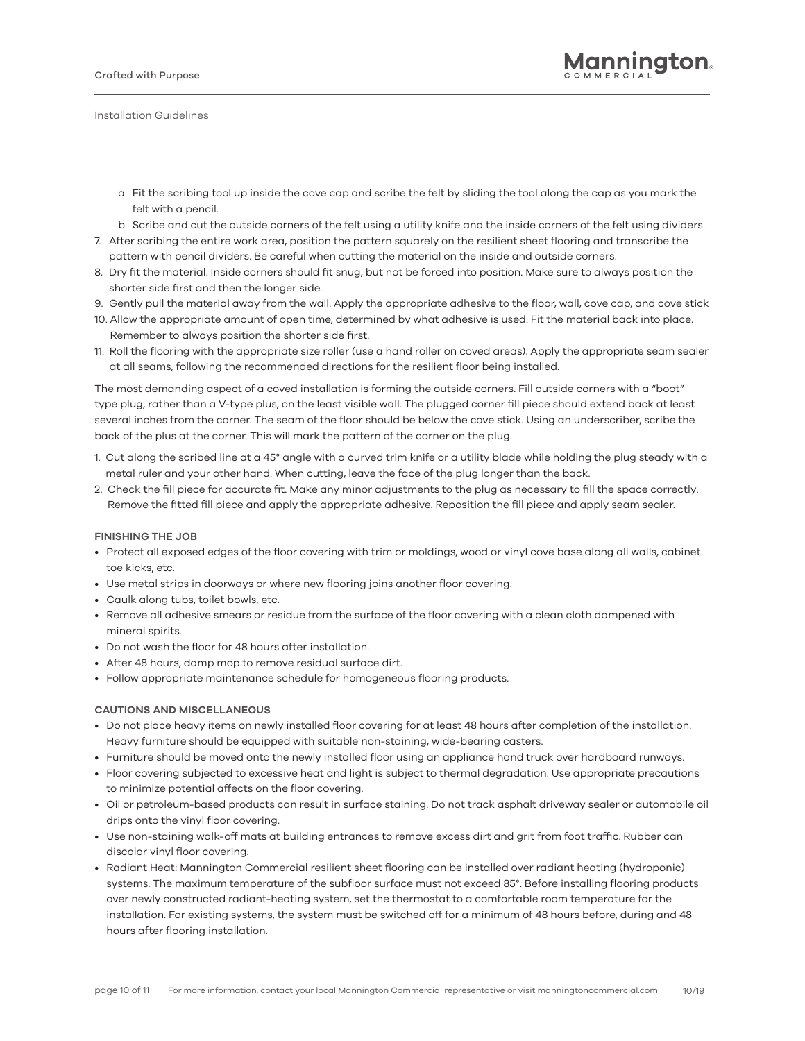- a. Fit the scribing tool up inside the cove cap and scribe the felt by sliding the tool along the cap as you mark the felt with a pencil.
- b. Scribe and cut the outside corners of the felt using a utility knife and the inside corners of the felt using dividers.
- 7. After scribing the entire work area, position the pattern squarely on the resilient sheet flooring and transcribe the pattern with pencil dividers. Be careful when cutting the material on the inside and outside corners.
- 8. Dry fit the material. Inside corners should fit snug, but not be forced into position. Make sure to always position the shorter side first and then the longer side.
- 9. Gently pull the material away from the wall. Apply the appropriate adhesive to the floor, wall, cove cap, and cove stick
- 10. Allow the appropriate amount of open time, determined by what adhesive is used. Fit the material back into place. Remember to always position the shorter side first.
- 11. Roll the flooring with the appropriate size roller (use a hand roller on coved areas). Apply the appropriate seam sealer at all seams, following the recommended directions for the resilient floor being installed.

The most demanding aspect of a coved installation is forming the outside corners. Fill outside corners with a "boot" type plug, rather than a V-type plus, on the least visible wall. The plugged corner fill piece should extend back at least several inches from the corner. The seam of the floor should be below the cove stick. Using an underscriber, scribe the back of the plus at the corner. This will mark the pattern of the corner on the plug.

- 1. Cut along the scribed line at a 45° angle with a curved trim knife or a utility blade while holding the plug steady with a metal ruler and your other hand. When cutting, leave the face of the plug longer than the back.
- 2. Check the fill piece for accurate fit. Make any minor adjustments to the plug as necessary to fill the space correctly. Remove the fitted fill piece and apply the appropriate adhesive. Reposition the fill piece and apply seam sealer.

# **FINISHING THE JOB**

- Protect all exposed edges of the floor covering with trim or moldings, wood or vinyl cove base along all walls, cabinet toe kicks, etc.
- Use metal strips in doorways or where new flooring joins another floor covering.
- Caulk along tubs, toilet bowls, etc.
- Remove all adhesive smears or residue from the surface of the floor covering with a clean cloth dampened with mineral spirits.
- Do not wash the floor for 48 hours after installation.
- After 48 hours, damp mop to remove residual surface dirt.
- Follow appropriate maintenance schedule for homogeneous flooring products.

# **CAUTIONS AND MISCELLANEOUS**

- Do not place heavy items on newly installed floor covering for at least 48 hours after completion of the installation. Heavy furniture should be equipped with suitable non-staining, wide-bearing casters.
- Furniture should be moved onto the newly installed floor using an appliance hand truck over hardboard runways.
- Floor covering subjected to excessive heat and light is subject to thermal degradation. Use appropriate precautions to minimize potential affects on the floor covering.
- Oil or petroleum-based products can result in surface staining. Do not track asphalt driveway sealer or automobile oil drips onto the vinyl floor covering.
- Use non-staining walk-off mats at building entrances to remove excess dirt and grit from foot traffic. Rubber can discolor vinyl floor covering.
- Radiant Heat: Mannington Commercial resilient sheet flooring can be installed over radiant heating (hydroponic) systems. The maximum temperature of the subfloor surface must not exceed 85°. Before installing flooring products over newly constructed radiant-heating system, set the thermostat to a comfortable room temperature for the installation. For existing systems, the system must be switched off for a minimum of 48 hours before, during and 48 hours after flooring installation.